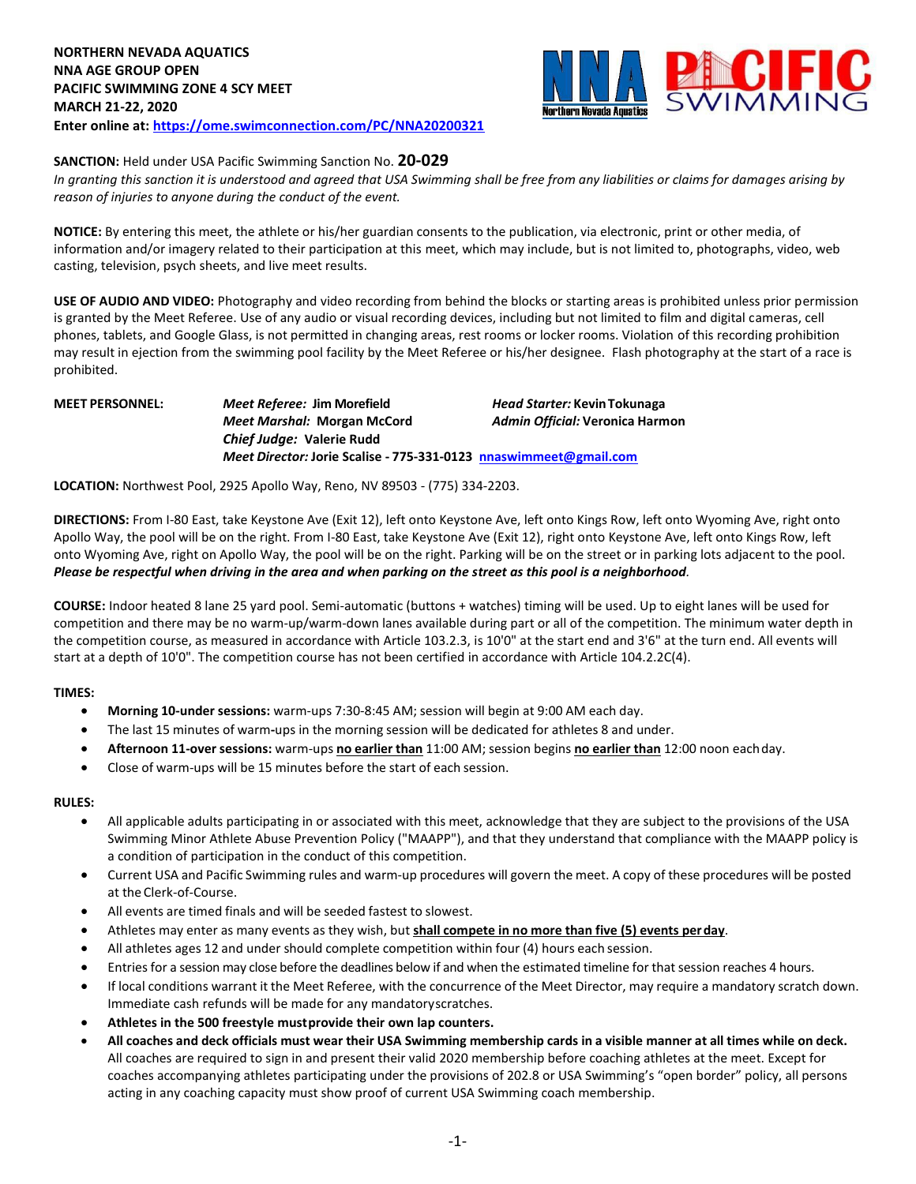

## **SANCTION:** Held under USA Pacific Swimming Sanction No. **20-029**

*In granting this sanction it is understood and agreed that USA Swimming shall be free from any liabilities or claims for damages arising by reason of injuries to anyone during the conduct of the event.*

**NOTICE:** By entering this meet, the athlete or his/her guardian consents to the publication, via electronic, print or other media, of information and/or imagery related to their participation at this meet, which may include, but is not limited to, photographs, video, web casting, television, psych sheets, and live meet results.

**USE OF AUDIO AND VIDEO:** Photography and video recording from behind the blocks or starting areas is prohibited unless prior permission is granted by the Meet Referee. Use of any audio or visual recording devices, including but not limited to film and digital cameras, cell phones, tablets, and Google Glass, is not permitted in changing areas, rest rooms or locker rooms. Violation of this recording prohibition may result in ejection from the swimming pool facility by the Meet Referee or his/her designee. Flash photography at the start of a race is prohibited.

**MEET PERSONNEL:** *Meet Referee:* **Jim Morefield** *Head Starter:* **KevinTokunaga** *Meet Marshal:* **Morgan McCord** *Admin Official:* **Veronica Harmon** *Chief Judge:* **Valerie Rudd** *Meet Director:* **Jorie Scalise - 775-331-0123 [nnaswimmeet@gmail.com](mailto:nnaswimmeet@gmail.com)**

**LOCATION:** Northwest Pool, 2925 Apollo Way, Reno, NV 89503 - (775) 334-2203.

**DIRECTIONS:** From I-80 East, take Keystone Ave (Exit 12), left onto Keystone Ave, left onto Kings Row, left onto Wyoming Ave, right onto Apollo Way, the pool will be on the right. From I-80 East, take Keystone Ave (Exit 12), right onto Keystone Ave, left onto Kings Row, left onto Wyoming Ave, right on Apollo Way, the pool will be on the right. Parking will be on the street or in parking lots adjacent to the pool. *Please be respectful when driving in the area and when parking on the street as this pool is a neighborhood.*

**COURSE:** Indoor heated 8 lane 25 yard pool. Semi-automatic (buttons + watches) timing will be used. Up to eight lanes will be used for competition and there may be no warm-up/warm-down lanes available during part or all of the competition. The minimum water depth in the competition course, as measured in accordance with Article 103.2.3, is 10'0" at the start end and 3'6" at the turn end. All events will start at a depth of 10'0". The competition course has not been certified in accordance with Article 104.2.2C(4).

### **TIMES:**

- **Morning 10-under sessions:** warm-ups 7:30-8:45 AM; session will begin at 9:00 AM each day.
- The last 15 minutes of warm**-**ups in the morning session will be dedicated for athletes 8 and under.
- **Afternoon 11-over sessions:** warm-ups **no earlier than** 11:00 AM; session begins **no earlier than** 12:00 noon eachday.
- Close of warm-ups will be 15 minutes before the start of each session.

#### **RULES:**

- All applicable adults participating in or associated with this meet, acknowledge that they are subject to the provisions of the USA Swimming Minor Athlete Abuse Prevention Policy ("MAAPP"), and that they understand that compliance with the MAAPP policy is a condition of participation in the conduct of this competition.
- Current USA and Pacific Swimming rules and warm-up procedures will govern the meet. A copy of these procedures will be posted at the Clerk-of-Course.
- All events are timed finals and will be seeded fastest to slowest.
- Athletes may enter as many events as they wish, but **shall compete in no more than five (5) events perday**.
- All athletes ages 12 and under should complete competition within four (4) hours each session.
- Entries for a session may close before the deadlines below if and when the estimated timeline for that session reaches 4 hours.
- If local conditions warrant it the Meet Referee, with the concurrence of the Meet Director, may require a mandatory scratch down. Immediate cash refunds will be made for any mandatoryscratches.
- **Athletes in the 500 freestyle mustprovide their own lap counters.**
- All coaches and deck officials must wear their USA Swimming membership cards in a visible manner at all times while on deck. All coaches are required to sign in and present their valid 2020 membership before coaching athletes at the meet. Except for coaches accompanying athletes participating under the provisions of 202.8 or USA Swimming's "open border" policy, all persons acting in any coaching capacity must show proof of current USA Swimming coach membership.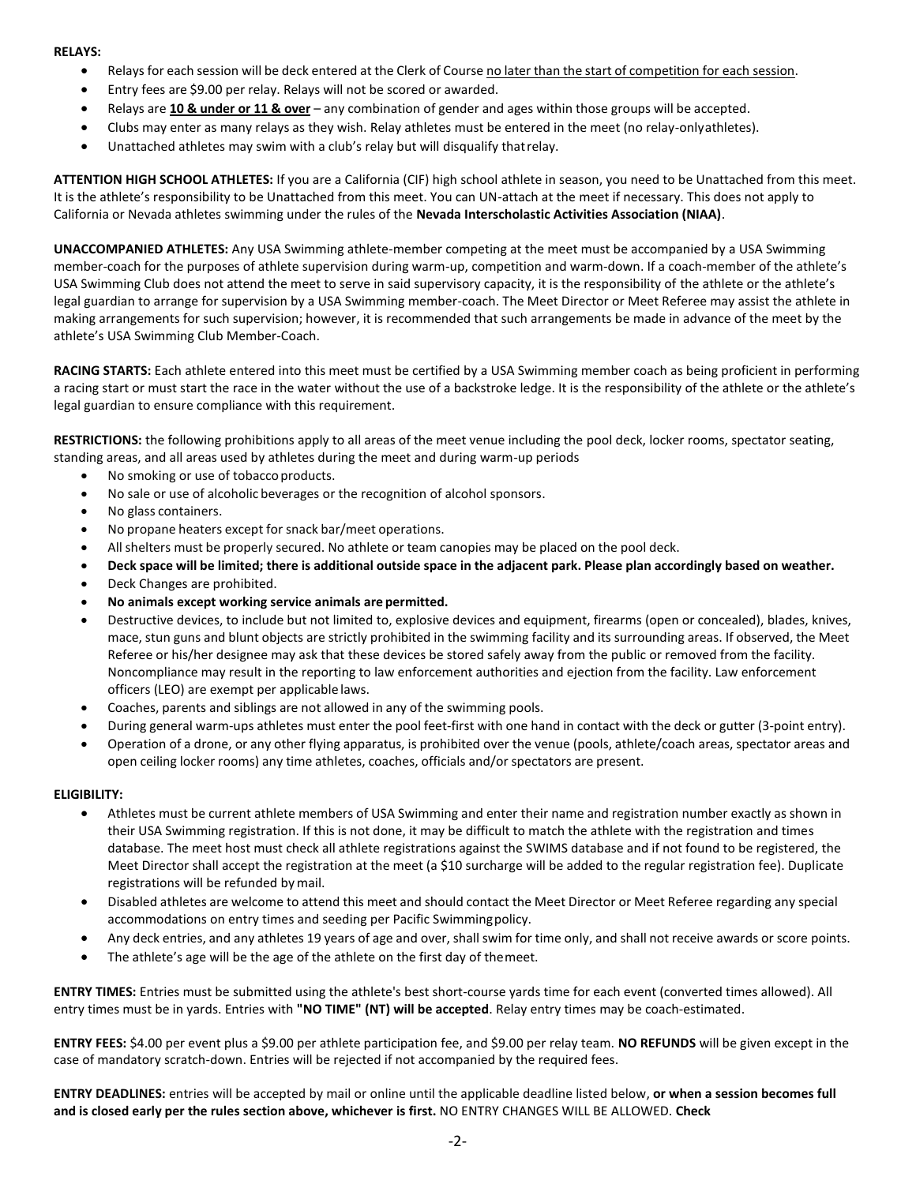#### **RELAYS:**

- Relays for each session will be deck entered at the Clerk of Course no later than the start of competition for each session.
- Entry fees are \$9.00 per relay. Relays will not be scored or awarded.
- Relays are **10 & under or 11 & over** any combination of gender and ages within those groups will be accepted.
- Clubs may enter as many relays as they wish. Relay athletes must be entered in the meet (no relay-onlyathletes).
- Unattached athletes may swim with a club's relay but will disqualify thatrelay.

**ATTENTION HIGH SCHOOL ATHLETES:** If you are a California (CIF) high school athlete in season, you need to be Unattached from this meet. It is the athlete's responsibility to be Unattached from this meet. You can UN-attach at the meet if necessary. This does not apply to California or Nevada athletes swimming under the rules of the **Nevada Interscholastic Activities Association (NIAA)**.

**UNACCOMPANIED ATHLETES:** Any USA Swimming athlete-member competing at the meet must be accompanied by a USA Swimming member-coach for the purposes of athlete supervision during warm-up, competition and warm-down. If a coach-member of the athlete's USA Swimming Club does not attend the meet to serve in said supervisory capacity, it is the responsibility of the athlete or the athlete's legal guardian to arrange for supervision by a USA Swimming member-coach. The Meet Director or Meet Referee may assist the athlete in making arrangements for such supervision; however, it is recommended that such arrangements be made in advance of the meet by the athlete's USA Swimming Club Member-Coach.

**RACING STARTS:** Each athlete entered into this meet must be certified by a USA Swimming member coach as being proficient in performing a racing start or must start the race in the water without the use of a backstroke ledge. It is the responsibility of the athlete or the athlete's legal guardian to ensure compliance with this requirement.

**RESTRICTIONS:** the following prohibitions apply to all areas of the meet venue including the pool deck, locker rooms, spectator seating, standing areas, and all areas used by athletes during the meet and during warm-up periods

- No smoking or use of tobacco products.
- No sale or use of alcoholic beverages or the recognition of alcohol sponsors.
- No glass containers.
- No propane heaters except for snack bar/meet operations.
- All shelters must be properly secured. No athlete or team canopies may be placed on the pool deck.
- Deck space will be limited; there is additional outside space in the adjacent park. Please plan accordingly based on weather.
- Deck Changes are prohibited.
- **No animals except working service animals are permitted.**
- Destructive devices, to include but not limited to, explosive devices and equipment, firearms (open or concealed), blades, knives, mace, stun guns and blunt objects are strictly prohibited in the swimming facility and its surrounding areas. If observed, the Meet Referee or his/her designee may ask that these devices be stored safely away from the public or removed from the facility. Noncompliance may result in the reporting to law enforcement authorities and ejection from the facility. Law enforcement officers (LEO) are exempt per applicable laws.
- Coaches, parents and siblings are not allowed in any of the swimming pools.
- During general warm-ups athletes must enter the pool feet-first with one hand in contact with the deck or gutter (3-point entry).
- Operation of a drone, or any other flying apparatus, is prohibited over the venue (pools, athlete/coach areas, spectator areas and open ceiling locker rooms) any time athletes, coaches, officials and/or spectators are present.

### **ELIGIBILITY:**

- Athletes must be current athlete members of USA Swimming and enter their name and registration number exactly as shown in their USA Swimming registration. If this is not done, it may be difficult to match the athlete with the registration and times database. The meet host must check all athlete registrations against the SWIMS database and if not found to be registered, the Meet Director shall accept the registration at the meet (a \$10 surcharge will be added to the regular registration fee). Duplicate registrations will be refunded bymail.
- Disabled athletes are welcome to attend this meet and should contact the Meet Director or Meet Referee regarding any special accommodations on entry times and seeding per Pacific Swimmingpolicy.
- Any deck entries, and any athletes 19 years of age and over, shall swim for time only, and shall not receive awards or score points.
- The athlete's age will be the age of the athlete on the first day of themeet.

**ENTRY TIMES:** Entries must be submitted using the athlete's best short-course yards time for each event (converted times allowed). All entry times must be in yards. Entries with **"NO TIME" (NT) will be accepted**. Relay entry times may be coach-estimated.

**ENTRY FEES:** \$4.00 per event plus a \$9.00 per athlete participation fee, and \$9.00 per relay team. **NO REFUNDS** will be given except in the case of mandatory scratch-down. Entries will be rejected if not accompanied by the required fees.

**ENTRY DEADLINES:** entries will be accepted by mail or online until the applicable deadline listed below, **or when a session becomes full and is closed early per the rules section above, whichever is first.** NO ENTRY CHANGES WILL BE ALLOWED. **Check**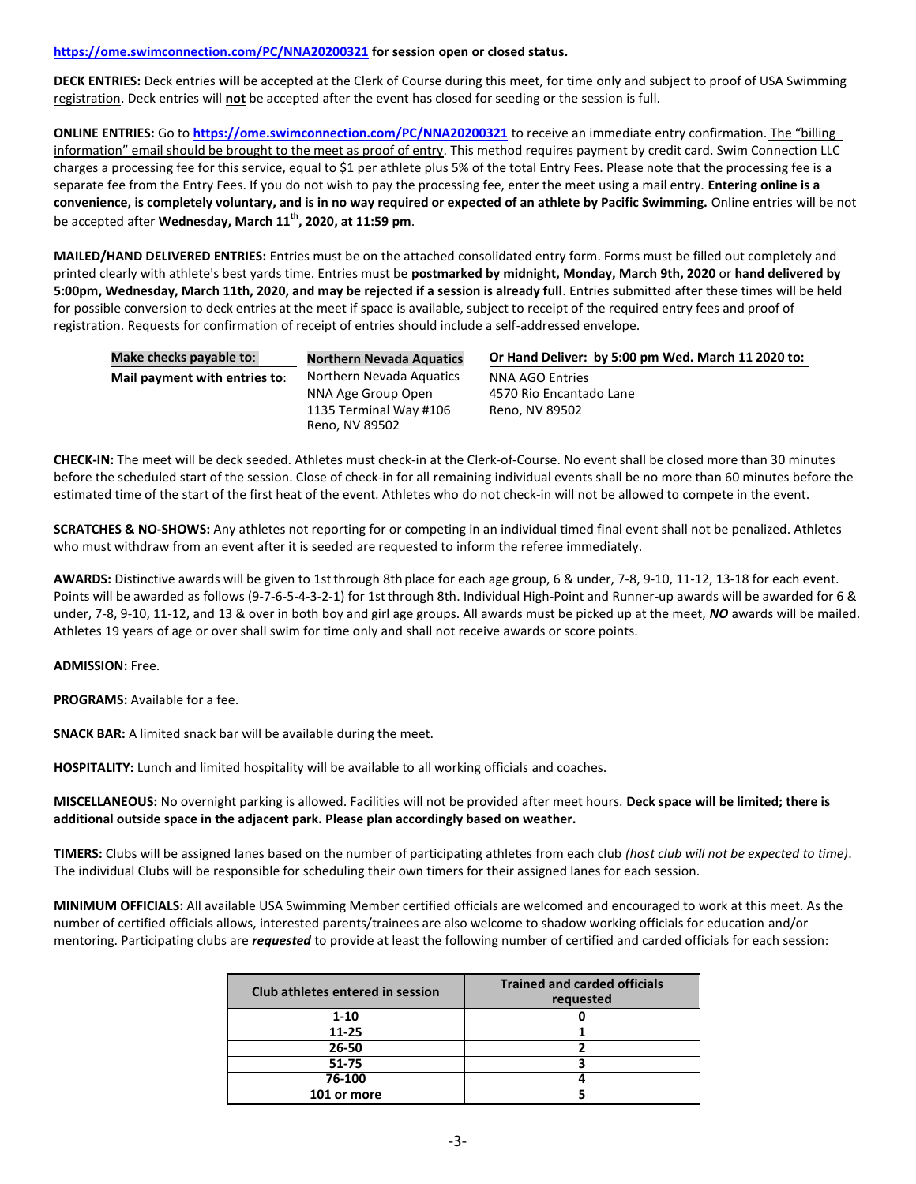### **<https://ome.swimconnection.com/PC/NNA20200321> for session open or closed status.**

**DECK ENTRIES:** Deck entries **will** be accepted at the Clerk of Course during this meet, for time only and subject to proof of USA Swimming registration. Deck entries will **not** be accepted after the event has closed for seeding or the session is full.

**ONLINE ENTRIES:** Go to **<https://ome.swimconnection.com/PC/NNA20200321>** to receive an immediate entry confirmation. The "billing information" email should be brought to the meet as proof of entry. This method requires payment by credit card. Swim Connection LLC charges a processing fee for this service, equal to \$1 per athlete plus 5% of the total Entry Fees. Please note that the processing fee is a separate fee from the Entry Fees. If you do not wish to pay the processing fee, enter the meet using a mail entry. **Entering online is a convenience, is completely voluntary, and is in no way required or expected of an athlete by Pacific Swimming.** Online entries will be not be accepted after **Wednesday, March 11th, 2020, at 11:59 pm**.

**MAILED/HAND DELIVERED ENTRIES:** Entries must be on the attached consolidated entry form. Forms must be filled out completely and printed clearly with athlete's best yards time. Entries must be **postmarked by midnight, Monday, March 9th, 2020** or **hand delivered by 5:00pm, Wednesday, March 11th, 2020, and may be rejected if a session is already full**. Entries submitted after these times will be held for possible conversion to deck entries at the meet if space is available, subject to receipt of the required entry fees and proof of registration. Requests for confirmation of receipt of entries should include a self-addressed envelope.

| Make checks payable to:       | <b>Northern Nevada Aquatics</b>          | Or Hand Deliver: by 5:00 pm Wed. March 11 2020 to: |  |  |  |  |  |  |
|-------------------------------|------------------------------------------|----------------------------------------------------|--|--|--|--|--|--|
| Mail payment with entries to: | Northern Nevada Aquatics                 | NNA AGO Entries                                    |  |  |  |  |  |  |
|                               | NNA Age Group Open                       | 4570 Rio Encantado Lane                            |  |  |  |  |  |  |
|                               | 1135 Terminal Way #106<br>Reno. NV 89502 | Reno. NV 89502                                     |  |  |  |  |  |  |

**CHECK-IN:** The meet will be deck seeded. Athletes must check-in at the Clerk-of-Course. No event shall be closed more than 30 minutes before the scheduled start of the session. Close of check-in for all remaining individual events shall be no more than 60 minutes before the estimated time of the start of the first heat of the event. Athletes who do not check-in will not be allowed to compete in the event.

**SCRATCHES & NO-SHOWS:** Any athletes not reporting for or competing in an individual timed final event shall not be penalized. Athletes who must withdraw from an event after it is seeded are requested to inform the referee immediately.

**AWARDS:** Distinctive awards will be given to 1stthrough 8th place for each age group, 6 & under, 7-8, 9-10, 11-12, 13-18 for each event. Points will be awarded as follows (9-7-6-5-4-3-2-1) for 1stthrough 8th. Individual High-Point and Runner-up awards will be awarded for 6 & under, 7-8, 9-10, 11-12, and 13 & over in both boy and girl age groups. All awards must be picked up at the meet, *NO* awards will be mailed. Athletes 19 years of age or over shall swim for time only and shall not receive awards or score points.

### **ADMISSION:** Free.

**PROGRAMS:** Available for a fee.

**SNACK BAR:** A limited snack bar will be available during the meet.

**HOSPITALITY:** Lunch and limited hospitality will be available to all working officials and coaches.

**MISCELLANEOUS:** No overnight parking is allowed. Facilities will not be provided after meet hours. **Deck space will be limited; there is additional outside space in the adjacent park. Please plan accordingly based on weather.**

**TIMERS:** Clubs will be assigned lanes based on the number of participating athletes from each club *(host club will not be expected to time)*. The individual Clubs will be responsible for scheduling their own timers for their assigned lanes for each session.

**MINIMUM OFFICIALS:** All available USA Swimming Member certified officials are welcomed and encouraged to work at this meet. As the number of certified officials allows, interested parents/trainees are also welcome to shadow working officials for education and/or mentoring. Participating clubs are *requested* to provide at least the following number of certified and carded officials for each session:

| Club athletes entered in session | <b>Trained and carded officials</b><br>requested |
|----------------------------------|--------------------------------------------------|
| $1 - 10$                         |                                                  |
| $11 - 25$                        |                                                  |
| 26-50                            |                                                  |
| $51 - 75$                        |                                                  |
| 76-100                           |                                                  |
| 101 or more                      |                                                  |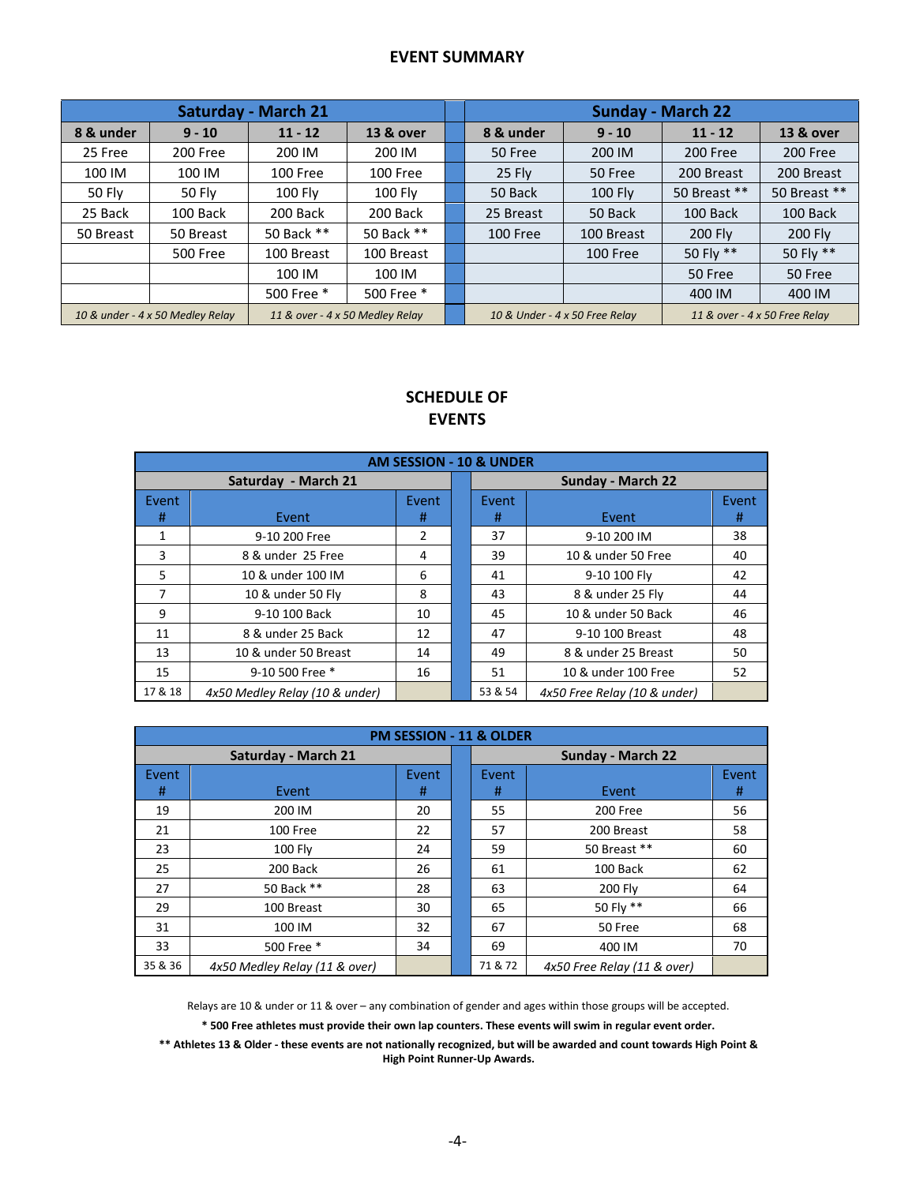## **EVENT SUMMARY**

|                                                                     |                 | <b>Saturday - March 21</b> |                                                                 | <b>Sunday - March 22</b> |            |              |              |  |  |
|---------------------------------------------------------------------|-----------------|----------------------------|-----------------------------------------------------------------|--------------------------|------------|--------------|--------------|--|--|
| 8 & under                                                           | $9 - 10$        | $11 - 12$                  | <b>13 &amp; over</b>                                            | 8 & under                | $9 - 10$   | $11 - 12$    | 13 & over    |  |  |
| 25 Free                                                             | 200 Free        | 200 IM                     | 200 IM                                                          | 50 Free                  | 200 IM     | 200 Free     | 200 Free     |  |  |
| 100 IM                                                              | 100 IM          | 100 Free                   | 100 Free                                                        | 25 Fly                   | 50 Free    | 200 Breast   | 200 Breast   |  |  |
| 50 Fly                                                              | 50 Fly          | <b>100 Fly</b>             | 100 Fly                                                         | 50 Back                  | 100 Fly    | 50 Breast ** | 50 Breast ** |  |  |
| 25 Back                                                             | 100 Back        | 200 Back                   | 200 Back                                                        | 25 Breast                | 50 Back    | 100 Back     | 100 Back     |  |  |
| 50 Breast                                                           | 50 Breast       | 50 Back **                 | 50 Back **                                                      | 100 Free                 | 100 Breast | 200 Fly      | 200 Fly      |  |  |
|                                                                     | <b>500 Free</b> | 100 Breast                 | 100 Breast                                                      |                          | 100 Free   | 50 Fly **    | 50 Fly **    |  |  |
|                                                                     |                 | 100 IM                     | 100 IM                                                          |                          |            | 50 Free      | 50 Free      |  |  |
|                                                                     |                 | 500 Free *                 | 500 Free *                                                      |                          |            | 400 IM       | 400 IM       |  |  |
| 10 & under - 4 x 50 Medley Relay<br>11 & over - 4 x 50 Medley Relay |                 |                            | 10 & Under - 4 x 50 Free Relay<br>11 & over - 4 x 50 Free Relay |                          |            |              |              |  |  |

# **SCHEDULE OF EVENTS**

| <b>AM SESSION - 10 &amp; UNDER</b> |                                |            |                   |            |                              |            |  |  |  |  |
|------------------------------------|--------------------------------|------------|-------------------|------------|------------------------------|------------|--|--|--|--|
|                                    | Saturday - March 21            |            | Sunday - March 22 |            |                              |            |  |  |  |  |
| Event<br>#                         | Event                          | Event<br># |                   | Event<br># | Event                        | Event<br># |  |  |  |  |
| 1                                  | 9-10 200 Free                  | 2          |                   | 37         | 9-10 200 IM                  | 38         |  |  |  |  |
| 3                                  | 8 & under 25 Free              | 4          |                   | 39         | 10 & under 50 Free           | 40         |  |  |  |  |
| 5                                  | 10 & under 100 IM              | 6          |                   | 41         | 9-10 100 Fly                 | 42         |  |  |  |  |
| 7                                  | 10 & under 50 Fly              | 8          |                   | 43         | 8 & under 25 Fly             | 44         |  |  |  |  |
| 9                                  | 9-10 100 Back                  | 10         |                   | 45         | 10 & under 50 Back           | 46         |  |  |  |  |
| 11                                 | 8 & under 25 Back              | 12         |                   | 47         | 9-10 100 Breast              | 48         |  |  |  |  |
| 13                                 | 10 & under 50 Breast           | 14         |                   | 49         | 8 & under 25 Breast          | 50         |  |  |  |  |
| 15                                 | 9-10 500 Free *                | 16         |                   | 51         | 10 & under 100 Free          | 52         |  |  |  |  |
| 17 & 18                            | 4x50 Medley Relay (10 & under) |            |                   | 53 & 54    | 4x50 Free Relay (10 & under) |            |  |  |  |  |

| <b>PM SESSION - 11 &amp; OLDER</b> |                               |       |                   |         |                             |       |  |  |  |  |
|------------------------------------|-------------------------------|-------|-------------------|---------|-----------------------------|-------|--|--|--|--|
|                                    | <b>Saturday - March 21</b>    |       | Sunday - March 22 |         |                             |       |  |  |  |  |
| Event                              |                               | Event |                   | Event   |                             | Event |  |  |  |  |
| #                                  | Event                         | #     |                   | #       | Event                       | #     |  |  |  |  |
| 19                                 | 200 IM                        | 20    |                   | 55      | 200 Free                    | 56    |  |  |  |  |
| 21                                 | 100 Free                      | 22    |                   | 57      | 200 Breast                  | 58    |  |  |  |  |
| 23                                 | 100 Fly                       | 24    |                   | 59      | 50 Breast **                | 60    |  |  |  |  |
| 25                                 | 200 Back                      | 26    |                   | 61      | 100 Back                    | 62    |  |  |  |  |
| 27                                 | 50 Back **                    | 28    |                   | 63      | 200 Fly                     | 64    |  |  |  |  |
| 29                                 | 100 Breast                    | 30    |                   | 65      | 50 Fly **                   | 66    |  |  |  |  |
| 31                                 | 100 IM                        | 32    |                   | 67      | 50 Free                     | 68    |  |  |  |  |
| 33                                 | 500 Free *                    | 34    |                   | 69      | 400 IM                      | 70    |  |  |  |  |
| 35 & 36                            | 4x50 Medley Relay (11 & over) |       |                   | 71 & 72 | 4x50 Free Relay (11 & over) |       |  |  |  |  |

Relays are 10 & under or 11 & over – any combination of gender and ages within those groups will be accepted.

**\* 500 Free athletes must provide their own lap counters. These events will swim in regular event order.**

**\*\* Athletes 13 & Older - these events are not nationally recognized, but will be awarded and count towards High Point & High Point Runner-Up Awards.**